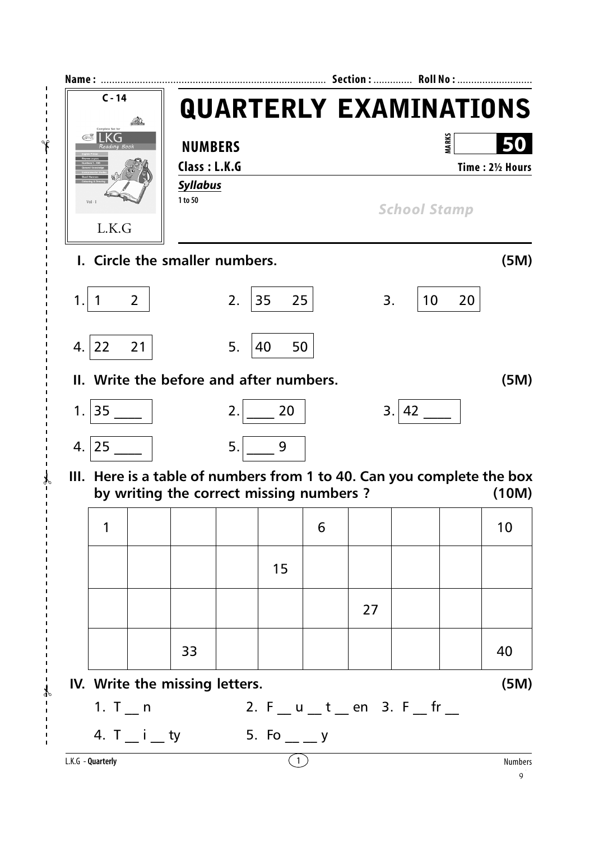

 $\mathcal{V}$ 

✃

 $-\frac{2}{3}$ 

 $\overline{1}$  $\overline{1}$ 

9